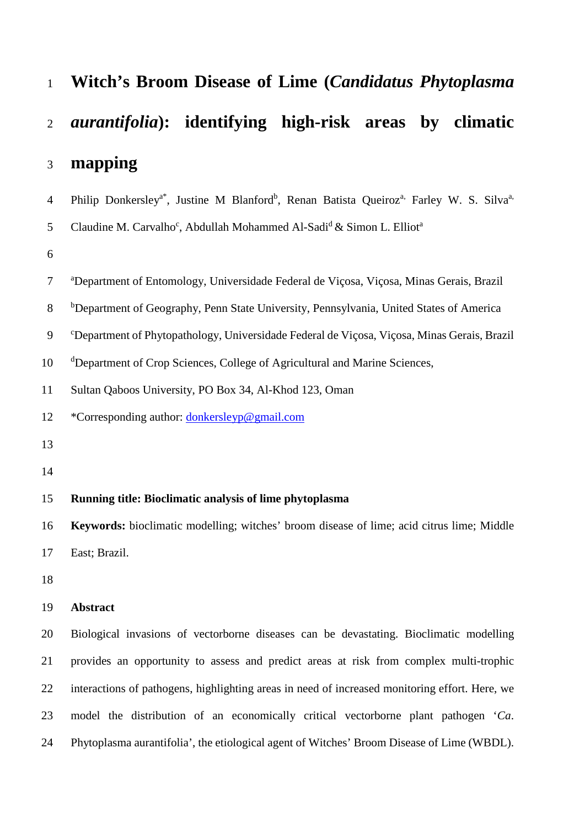| $\mathbf{1}$   | Witch's Broom Disease of Lime (Candidatus Phytoplasma                                                                                    |
|----------------|------------------------------------------------------------------------------------------------------------------------------------------|
| $\overline{2}$ | <i>aurantifolia</i> ): identifying high-risk areas by climatic                                                                           |
| 3              | mapping                                                                                                                                  |
| $\overline{4}$ | Philip Donkersley <sup>a*</sup> , Justine M Blanford <sup>b</sup> , Renan Batista Queiroz <sup>a,</sup> Farley W. S. Silva <sup>a,</sup> |
| 5              | Claudine M. Carvalho <sup>c</sup> , Abdullah Mohammed Al-Sadi <sup>d</sup> & Simon L. Elliot <sup>a</sup>                                |
| 6              |                                                                                                                                          |
| $\tau$         | <sup>a</sup> Department of Entomology, Universidade Federal de Viçosa, Viçosa, Minas Gerais, Brazil                                      |
| $8\,$          | <sup>b</sup> Department of Geography, Penn State University, Pennsylvania, United States of America                                      |
| 9              | <sup>c</sup> Department of Phytopathology, Universidade Federal de Viçosa, Viçosa, Minas Gerais, Brazil                                  |
| 10             | <sup>d</sup> Department of Crop Sciences, College of Agricultural and Marine Sciences,                                                   |
| 11             | Sultan Qaboos University, PO Box 34, Al-Khod 123, Oman                                                                                   |
| 12             | *Corresponding author: donkersleyp@gmail.com                                                                                             |
| 13             |                                                                                                                                          |
| 14             |                                                                                                                                          |
| 15             | Running title: Bioclimatic analysis of lime phytoplasma                                                                                  |
| 16             | <b>Keywords:</b> bioclimatic modelling; witches' broom disease of lime; acid citrus lime; Middle                                         |
| 17             | East; Brazil.                                                                                                                            |
| 18             |                                                                                                                                          |
| 19             | <b>Abstract</b>                                                                                                                          |
| 20             | Biological invasions of vectorborne diseases can be devastating. Bioclimatic modelling                                                   |
| 21             | provides an opportunity to assess and predict areas at risk from complex multi-trophic                                                   |
| 22             | interactions of pathogens, highlighting areas in need of increased monitoring effort. Here, we                                           |
| 23             | model the distribution of an economically critical vectorborne plant pathogen 'Ca.                                                       |

Phytoplasma aurantifolia', the etiological agent of Witches' Broom Disease of Lime (WBDL).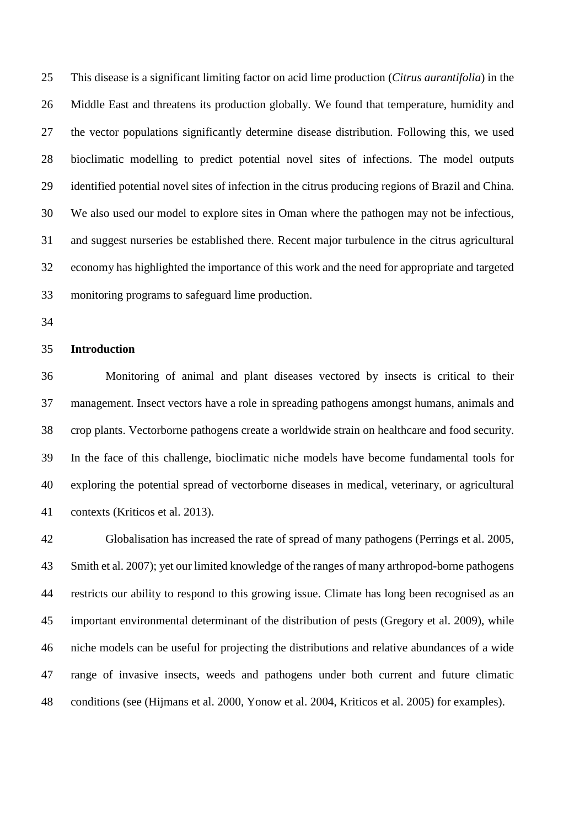This disease is a significant limiting factor on acid lime production (*Citrus aurantifolia*) in the Middle East and threatens its production globally. We found that temperature, humidity and the vector populations significantly determine disease distribution. Following this, we used bioclimatic modelling to predict potential novel sites of infections. The model outputs identified potential novel sites of infection in the citrus producing regions of Brazil and China. We also used our model to explore sites in Oman where the pathogen may not be infectious, and suggest nurseries be established there. Recent major turbulence in the citrus agricultural economy has highlighted the importance of this work and the need for appropriate and targeted monitoring programs to safeguard lime production.

# **Introduction**

 Monitoring of animal and plant diseases vectored by insects is critical to their management. Insect vectors have a role in spreading pathogens amongst humans, animals and crop plants. Vectorborne pathogens create a worldwide strain on healthcare and food security. In the face of this challenge, bioclimatic niche models have become fundamental tools for exploring the potential spread of vectorborne diseases in medical, veterinary, or agricultural contexts (Kriticos et al. 2013).

 Globalisation has increased the rate of spread of many pathogens (Perrings et al. 2005, Smith et al. 2007); yet our limited knowledge of the ranges of many arthropod-borne pathogens restricts our ability to respond to this growing issue. Climate has long been recognised as an important environmental determinant of the distribution of pests (Gregory et al. 2009), while niche models can be useful for projecting the distributions and relative abundances of a wide range of invasive insects, weeds and pathogens under both current and future climatic conditions (see (Hijmans et al. 2000, Yonow et al. 2004, Kriticos et al. 2005) for examples).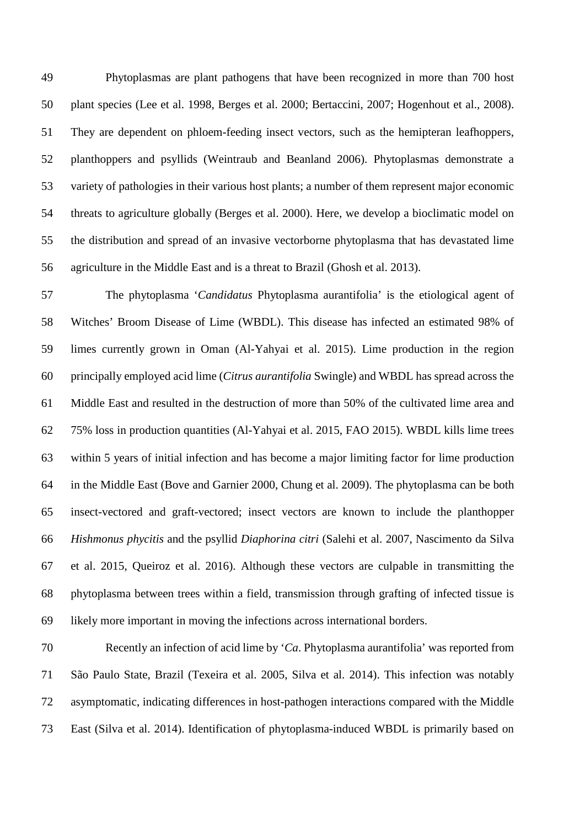Phytoplasmas are plant pathogens that have been recognized in more than 700 host plant species (Lee et al. 1998, Berges et al. 2000; Bertaccini, 2007; Hogenhout et al., 2008). They are dependent on phloem-feeding insect vectors, such as the hemipteran leafhoppers, planthoppers and psyllids (Weintraub and Beanland 2006). Phytoplasmas demonstrate a variety of pathologies in their various host plants; a number of them represent major economic threats to agriculture globally (Berges et al. 2000). Here, we develop a bioclimatic model on the distribution and spread of an invasive vectorborne phytoplasma that has devastated lime agriculture in the Middle East and is a threat to Brazil (Ghosh et al. 2013).

 The phytoplasma '*Candidatus* Phytoplasma aurantifolia' is the etiological agent of Witches' Broom Disease of Lime (WBDL). This disease has infected an estimated 98% of limes currently grown in Oman (Al-Yahyai et al. 2015). Lime production in the region principally employed acid lime (*Citrus aurantifolia* Swingle) and WBDL has spread across the Middle East and resulted in the destruction of more than 50% of the cultivated lime area and 75% loss in production quantities (Al-Yahyai et al. 2015, FAO 2015). WBDL kills lime trees within 5 years of initial infection and has become a major limiting factor for lime production in the Middle East (Bove and Garnier 2000, Chung et al. 2009). The phytoplasma can be both insect-vectored and graft-vectored; insect vectors are known to include the planthopper *Hishmonus phycitis* and the psyllid *Diaphorina citri* (Salehi et al. 2007, Nascimento da Silva et al. 2015, Queiroz et al. 2016). Although these vectors are culpable in transmitting the phytoplasma between trees within a field, transmission through grafting of infected tissue is likely more important in moving the infections across international borders.

 Recently an infection of acid lime by '*Ca*. Phytoplasma aurantifolia' was reported from São Paulo State, Brazil (Texeira et al. 2005, Silva et al. 2014). This infection was notably asymptomatic, indicating differences in host-pathogen interactions compared with the Middle East (Silva et al. 2014). Identification of phytoplasma-induced WBDL is primarily based on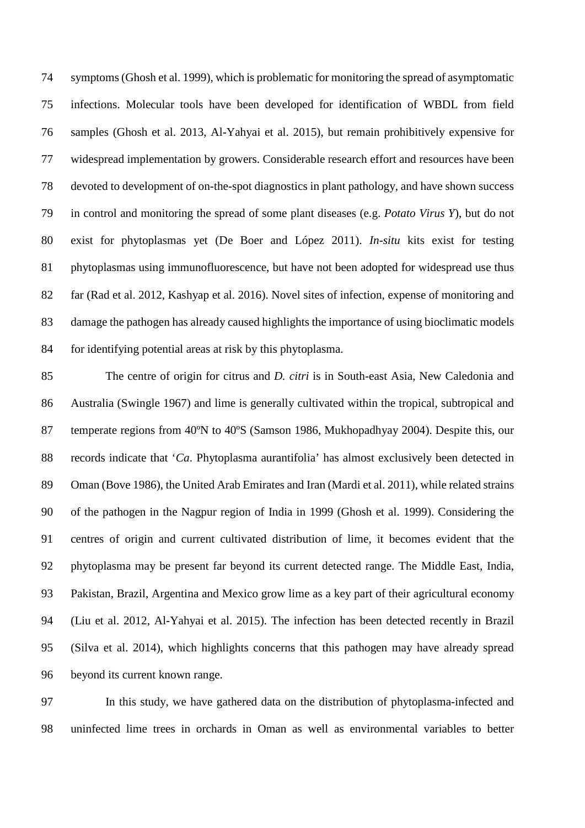symptoms (Ghosh et al. 1999), which is problematic for monitoring the spread of asymptomatic infections. Molecular tools have been developed for identification of WBDL from field samples (Ghosh et al. 2013, Al-Yahyai et al. 2015), but remain prohibitively expensive for widespread implementation by growers. Considerable research effort and resources have been devoted to development of on-the-spot diagnostics in plant pathology, and have shown success in control and monitoring the spread of some plant diseases (e.g. *Potato Virus Y*), but do not exist for phytoplasmas yet (De Boer and López 2011). *In-situ* kits exist for testing phytoplasmas using immunofluorescence, but have not been adopted for widespread use thus far (Rad et al. 2012, Kashyap et al. 2016). Novel sites of infection, expense of monitoring and damage the pathogen has already caused highlights the importance of using bioclimatic models for identifying potential areas at risk by this phytoplasma.

 The centre of origin for citrus and *D. citri* is in South-east Asia, New Caledonia and Australia (Swingle 1967) and lime is generally cultivated within the tropical, subtropical and temperate regions from 40ºN to 40ºS (Samson 1986, Mukhopadhyay 2004). Despite this, our records indicate that '*Ca*. Phytoplasma aurantifolia' has almost exclusively been detected in Oman (Bove 1986), the United Arab Emirates and Iran (Mardi et al. 2011), while related strains of the pathogen in the Nagpur region of India in 1999 (Ghosh et al. 1999). Considering the centres of origin and current cultivated distribution of lime, it becomes evident that the phytoplasma may be present far beyond its current detected range. The Middle East, India, Pakistan, Brazil, Argentina and Mexico grow lime as a key part of their agricultural economy (Liu et al. 2012, Al-Yahyai et al. 2015). The infection has been detected recently in Brazil (Silva et al. 2014), which highlights concerns that this pathogen may have already spread beyond its current known range.

 In this study, we have gathered data on the distribution of phytoplasma-infected and uninfected lime trees in orchards in Oman as well as environmental variables to better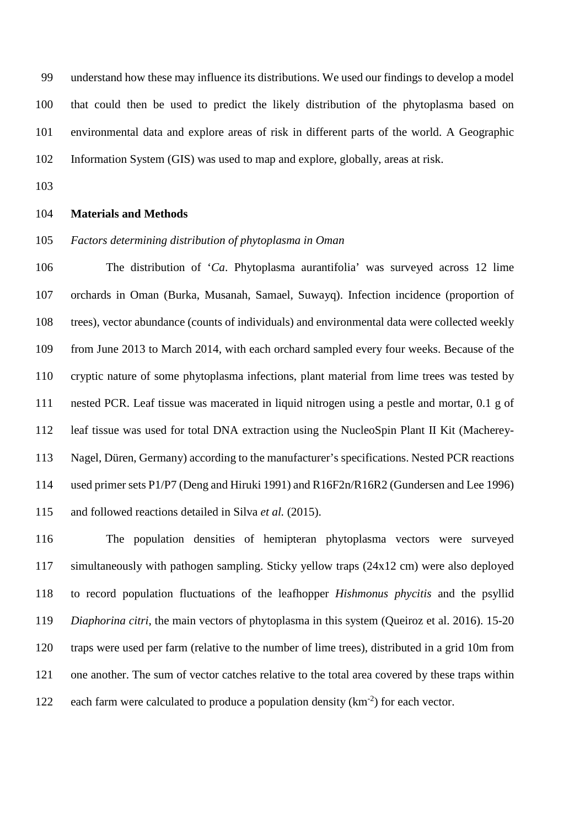understand how these may influence its distributions. We used our findings to develop a model that could then be used to predict the likely distribution of the phytoplasma based on environmental data and explore areas of risk in different parts of the world. A Geographic Information System (GIS) was used to map and explore, globally, areas at risk.

## **Materials and Methods**

## *Factors determining distribution of phytoplasma in Oman*

 The distribution of '*Ca*. Phytoplasma aurantifolia' was surveyed across 12 lime orchards in Oman (Burka, Musanah, Samael, Suwayq). Infection incidence (proportion of trees), vector abundance (counts of individuals) and environmental data were collected weekly from June 2013 to March 2014, with each orchard sampled every four weeks. Because of the cryptic nature of some phytoplasma infections, plant material from lime trees was tested by nested PCR. Leaf tissue was macerated in liquid nitrogen using a pestle and mortar, 0.1 g of leaf tissue was used for total DNA extraction using the NucleoSpin Plant II Kit (Macherey- Nagel, Düren, Germany) according to the manufacturer's specifications. Nested PCR reactions used primer sets P1/P7 (Deng and Hiruki 1991) and R16F2n/R16R2 (Gundersen and Lee 1996) and followed reactions detailed in Silva *et al.* (2015).

 The population densities of hemipteran phytoplasma vectors were surveyed simultaneously with pathogen sampling. Sticky yellow traps (24x12 cm) were also deployed to record population fluctuations of the leafhopper *Hishmonus phycitis* and the psyllid *Diaphorina citri*, the main vectors of phytoplasma in this system (Queiroz et al. 2016). 15-20 traps were used per farm (relative to the number of lime trees), distributed in a grid 10m from one another. The sum of vector catches relative to the total area covered by these traps within 122 each farm were calculated to produce a population density  $(km^{-2})$  for each vector.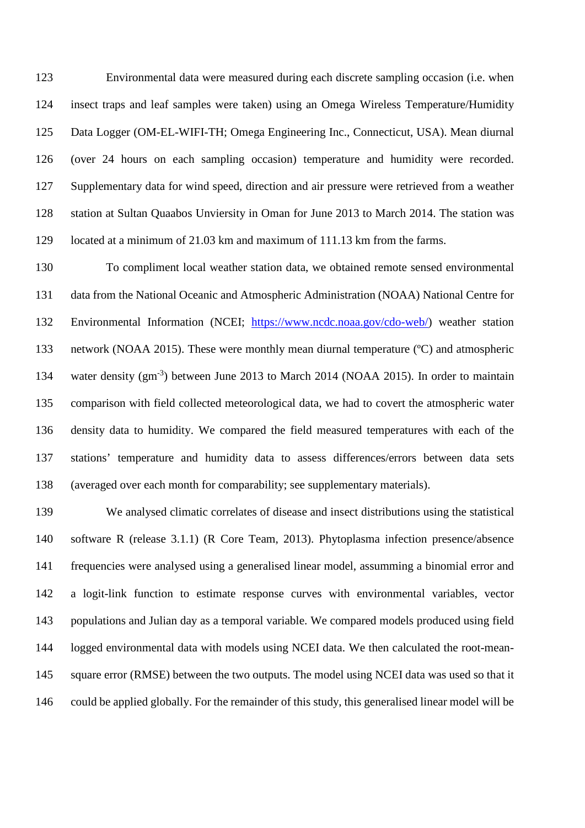Environmental data were measured during each discrete sampling occasion (i.e. when insect traps and leaf samples were taken) using an Omega Wireless Temperature/Humidity Data Logger (OM-EL-WIFI-TH; Omega Engineering Inc., Connecticut, USA). Mean diurnal (over 24 hours on each sampling occasion) temperature and humidity were recorded. Supplementary data for wind speed, direction and air pressure were retrieved from a weather station at Sultan Quaabos Unviersity in Oman for June 2013 to March 2014. The station was located at a minimum of 21.03 km and maximum of 111.13 km from the farms.

 To compliment local weather station data, we obtained remote sensed environmental data from the National Oceanic and Atmospheric Administration (NOAA) National Centre for Environmental Information (NCEI; [https://www.ncdc.noaa.gov/cdo-web/\)](https://www.ncdc.noaa.gov/cdo-web/) weather station network (NOAA 2015). These were monthly mean diurnal temperature (ºC) and atmospheric 134 water density (gm<sup>-3</sup>) between June 2013 to March 2014 (NOAA 2015). In order to maintain comparison with field collected meteorological data, we had to covert the atmospheric water density data to humidity. We compared the field measured temperatures with each of the stations' temperature and humidity data to assess differences/errors between data sets (averaged over each month for comparability; see supplementary materials).

 We analysed climatic correlates of disease and insect distributions using the statistical software R (release 3.1.1) (R Core Team, 2013). Phytoplasma infection presence/absence frequencies were analysed using a generalised linear model, assumming a binomial error and a logit-link function to estimate response curves with environmental variables, vector populations and Julian day as a temporal variable. We compared models produced using field logged environmental data with models using NCEI data. We then calculated the root-mean-145 square error (RMSE) between the two outputs. The model using NCEI data was used so that it could be applied globally. For the remainder of this study, this generalised linear model will be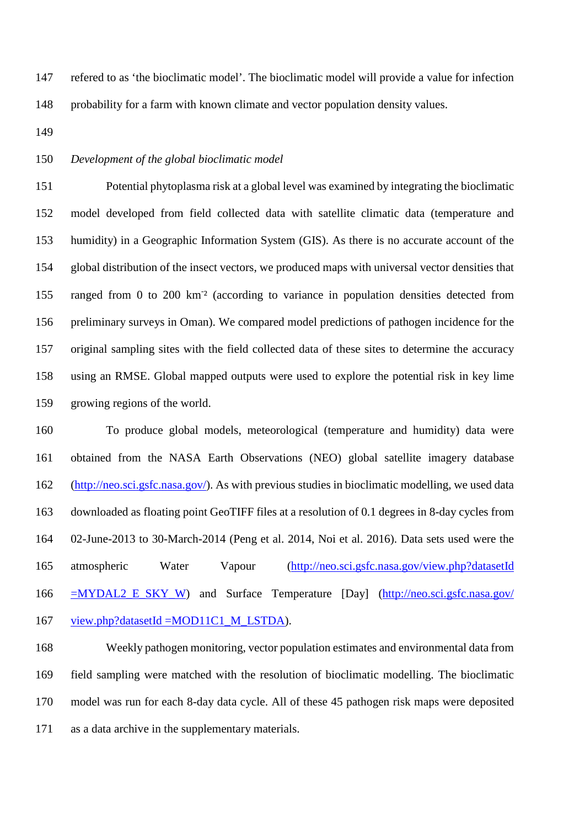refered to as 'the bioclimatic model'. The bioclimatic model will provide a value for infection probability for a farm with known climate and vector population density values.

# *Development of the global bioclimatic model*

 Potential phytoplasma risk at a global level was examined by integrating the bioclimatic model developed from field collected data with satellite climatic data (temperature and humidity) in a Geographic Information System (GIS). As there is no accurate account of the global distribution of the insect vectors, we produced maps with universal vector densities that 155 ranged from 0 to 200 km<sup>-2</sup> (according to variance in population densities detected from preliminary surveys in Oman). We compared model predictions of pathogen incidence for the original sampling sites with the field collected data of these sites to determine the accuracy using an RMSE. Global mapped outputs were used to explore the potential risk in key lime growing regions of the world.

 To produce global models, meteorological (temperature and humidity) data were obtained from the NASA Earth Observations (NEO) global satellite imagery database [\(http://neo.sci.gsfc.nasa.gov/\)](http://neo.sci.gsfc.nasa.gov/). As with previous studies in bioclimatic modelling, we used data downloaded as floating point GeoTIFF files at a resolution of 0.1 degrees in 8-day cycles from 02-June-2013 to 30-March-2014 (Peng et al. 2014, Noi et al. 2016). Data sets used were the atmospheric Water Vapour [\(http://neo.sci.gsfc.nasa.gov/view.php?datasetId](http://neo.sci.gsfc.nasa.gov/view.php?datasetId%20=MYDAL2_E_SKY_W)  [=MYDAL2\\_E\\_SKY\\_W\)](http://neo.sci.gsfc.nasa.gov/view.php?datasetId%20=MYDAL2_E_SKY_W) and Surface Temperature [Day] [\(http://neo.sci.gsfc.nasa.gov/](http://neo.sci.gsfc.nasa.gov/%20view.php?datasetId%20=MOD11C1_M_LSTDA)  167 view.php?datasetId =MOD11C1 M\_LSTDA).

 Weekly pathogen monitoring, vector population estimates and environmental data from field sampling were matched with the resolution of bioclimatic modelling. The bioclimatic model was run for each 8-day data cycle. All of these 45 pathogen risk maps were deposited as a data archive in the supplementary materials.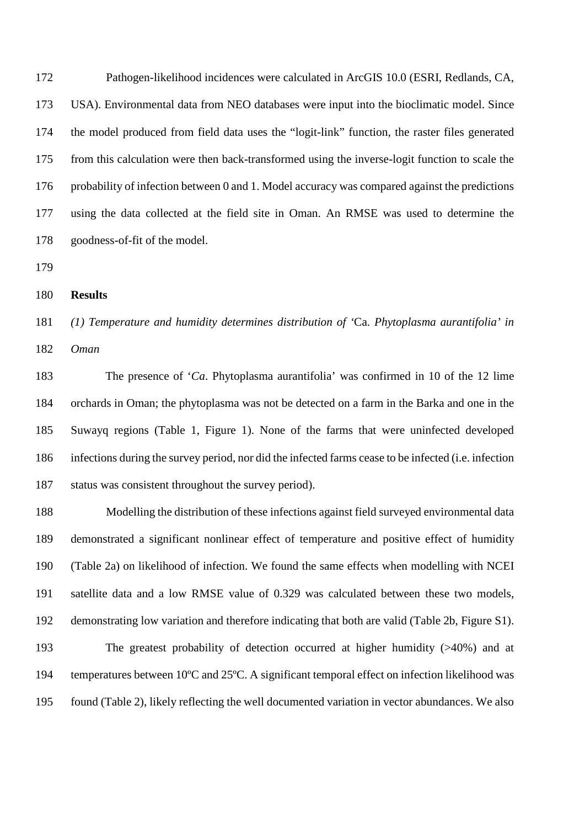Pathogen-likelihood incidences were calculated in ArcGIS 10.0 (ESRI, Redlands, CA, USA). Environmental data from NEO databases were input into the bioclimatic model. Since the model produced from field data uses the "logit-link" function, the raster files generated from this calculation were then back-transformed using the inverse-logit function to scale the probability of infection between 0 and 1. Model accuracy was compared against the predictions using the data collected at the field site in Oman. An RMSE was used to determine the goodness-of-fit of the model.

#### **Results**

*(1) Temperature and humidity determines distribution of '*Ca. *Phytoplasma aurantifolia' in* 

*Oman*

 The presence of '*Ca*. Phytoplasma aurantifolia' was confirmed in 10 of the 12 lime orchards in Oman; the phytoplasma was not be detected on a farm in the Barka and one in the Suwayq regions (Table 1, Figure 1). None of the farms that were uninfected developed infections during the survey period, nor did the infected farms cease to be infected (i.e. infection status was consistent throughout the survey period).

 Modelling the distribution of these infections against field surveyed environmental data demonstrated a significant nonlinear effect of temperature and positive effect of humidity (Table 2a) on likelihood of infection. We found the same effects when modelling with NCEI satellite data and a low RMSE value of 0.329 was calculated between these two models, demonstrating low variation and therefore indicating that both are valid (Table 2b, Figure S1). The greatest probability of detection occurred at higher humidity (>40%) and at temperatures between 10ºC and 25ºC. A significant temporal effect on infection likelihood was found (Table 2), likely reflecting the well documented variation in vector abundances. We also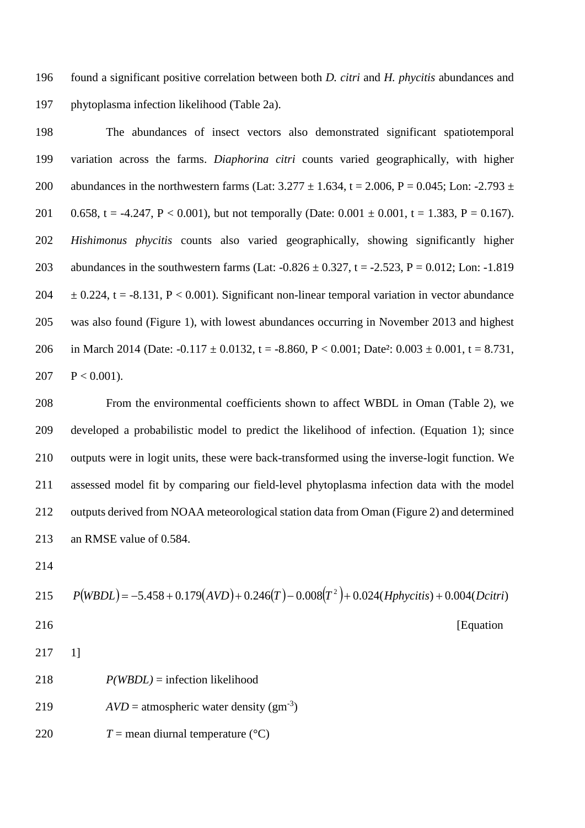found a significant positive correlation between both *D. citri* and *H. phycitis* abundances and phytoplasma infection likelihood (Table 2a).

 The abundances of insect vectors also demonstrated significant spatiotemporal variation across the farms. *Diaphorina citri* counts varied geographically, with higher 200 abundances in the northwestern farms (Lat:  $3.277 \pm 1.634$ , t = 2.006, P = 0.045; Lon: -2.793  $\pm$ 201 0.658, t = -4.247, P < 0.001), but not temporally (Date: 0.001  $\pm$  0.001, t = 1.383, P = 0.167). *Hishimonus phycitis* counts also varied geographically, showing significantly higher 203 abundances in the southwestern farms (Lat:  $-0.826 \pm 0.327$ , t =  $-2.523$ , P = 0.012; Lon:  $-1.819$ 204  $\pm$  0.224, t = -8.131, P < 0.001). Significant non-linear temporal variation in vector abundance was also found (Figure 1), with lowest abundances occurring in November 2013 and highest 206 in March 2014 (Date:  $-0.117 \pm 0.0132$ ,  $t = -8.860$ ,  $P < 0.001$ ; Date<sup>2</sup>:  $0.003 \pm 0.001$ ,  $t = 8.731$ , 207  $P < 0.001$ ).

 From the environmental coefficients shown to affect WBDL in Oman (Table 2), we developed a probabilistic model to predict the likelihood of infection. (Equation 1); since outputs were in logit units, these were back-transformed using the inverse-logit function. We assessed model fit by comparing our field-level phytoplasma infection data with the model outputs derived from NOAA meteorological station data from Oman (Figure 2) and determined an RMSE value of 0.584.

215 
$$
P(WBDL) = -5.458 + 0.179(AVD) + 0.246(T) - 0.008(T^2) + 0.024(Hphycitis) + 0.004(Dcitri)
$$
  
216 [Equation

- 
- 1]
- *P(WBDL)* = infection likelihood
- 219  $AVD = \text{atmospheric water density } (gm^{-3})$
- 220  $T =$  mean diurnal temperature  $(^{\circ}C)$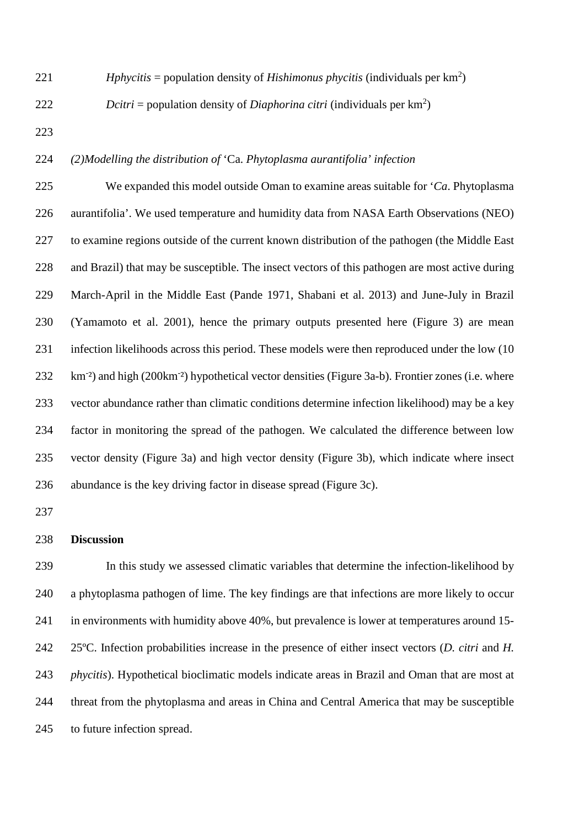221 *Hphycitis* = population density of *Hishimonus phycitis* (individuals per  $km^2$ )

222 Dcitri = population density of *Diaphorina citri* (individuals per  $km^2$ )

# *(2)Modelling the distribution of* 'Ca. *Phytoplasma aurantifolia' infection*

 We expanded this model outside Oman to examine areas suitable for '*Ca*. Phytoplasma aurantifolia'. We used temperature and humidity data from NASA Earth Observations (NEO) to examine regions outside of the current known distribution of the pathogen (the Middle East and Brazil) that may be susceptible. The insect vectors of this pathogen are most active during March-April in the Middle East (Pande 1971, Shabani et al. 2013) and June-July in Brazil (Yamamoto et al. 2001), hence the primary outputs presented here (Figure 3) are mean infection likelihoods across this period. These models were then reproduced under the low (10 232 km<sup>-2</sup>) and high (200km<sup>-2</sup>) hypothetical vector densities (Figure 3a-b). Frontier zones (i.e. where vector abundance rather than climatic conditions determine infection likelihood) may be a key factor in monitoring the spread of the pathogen. We calculated the difference between low vector density (Figure 3a) and high vector density (Figure 3b), which indicate where insect abundance is the key driving factor in disease spread (Figure 3c).

## **Discussion**

 In this study we assessed climatic variables that determine the infection-likelihood by a phytoplasma pathogen of lime. The key findings are that infections are more likely to occur 241 in environments with humidity above 40%, but prevalence is lower at temperatures around 15- 25ºC. Infection probabilities increase in the presence of either insect vectors (*D. citri* and *H. phycitis*). Hypothetical bioclimatic models indicate areas in Brazil and Oman that are most at threat from the phytoplasma and areas in China and Central America that may be susceptible to future infection spread.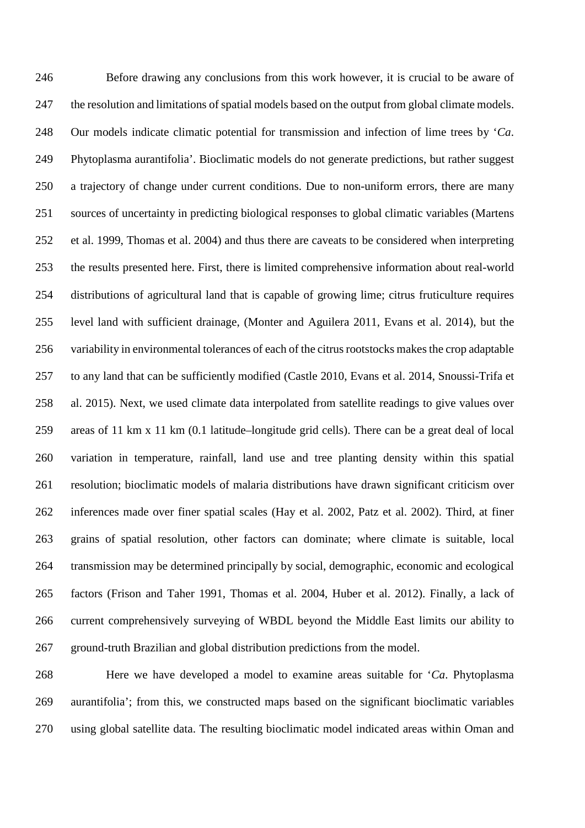Before drawing any conclusions from this work however, it is crucial to be aware of the resolution and limitations of spatial models based on the output from global climate models. Our models indicate climatic potential for transmission and infection of lime trees by '*Ca*. Phytoplasma aurantifolia'. Bioclimatic models do not generate predictions, but rather suggest a trajectory of change under current conditions. Due to non-uniform errors, there are many sources of uncertainty in predicting biological responses to global climatic variables (Martens et al. 1999, Thomas et al. 2004) and thus there are caveats to be considered when interpreting the results presented here. First, there is limited comprehensive information about real-world distributions of agricultural land that is capable of growing lime; citrus fruticulture requires level land with sufficient drainage, (Monter and Aguilera 2011, Evans et al. 2014), but the variability in environmental tolerances of each of the citrus rootstocks makes the crop adaptable to any land that can be sufficiently modified (Castle 2010, Evans et al. 2014, Snoussi-Trifa et al. 2015). Next, we used climate data interpolated from satellite readings to give values over areas of 11 km x 11 km (0.1 latitude–longitude grid cells). There can be a great deal of local variation in temperature, rainfall, land use and tree planting density within this spatial resolution; bioclimatic models of malaria distributions have drawn significant criticism over inferences made over finer spatial scales (Hay et al. 2002, Patz et al. 2002). Third, at finer grains of spatial resolution, other factors can dominate; where climate is suitable, local transmission may be determined principally by social, demographic, economic and ecological factors (Frison and Taher 1991, Thomas et al. 2004, Huber et al. 2012). Finally, a lack of current comprehensively surveying of WBDL beyond the Middle East limits our ability to ground-truth Brazilian and global distribution predictions from the model.

 Here we have developed a model to examine areas suitable for '*Ca*. Phytoplasma aurantifolia'; from this, we constructed maps based on the significant bioclimatic variables using global satellite data. The resulting bioclimatic model indicated areas within Oman and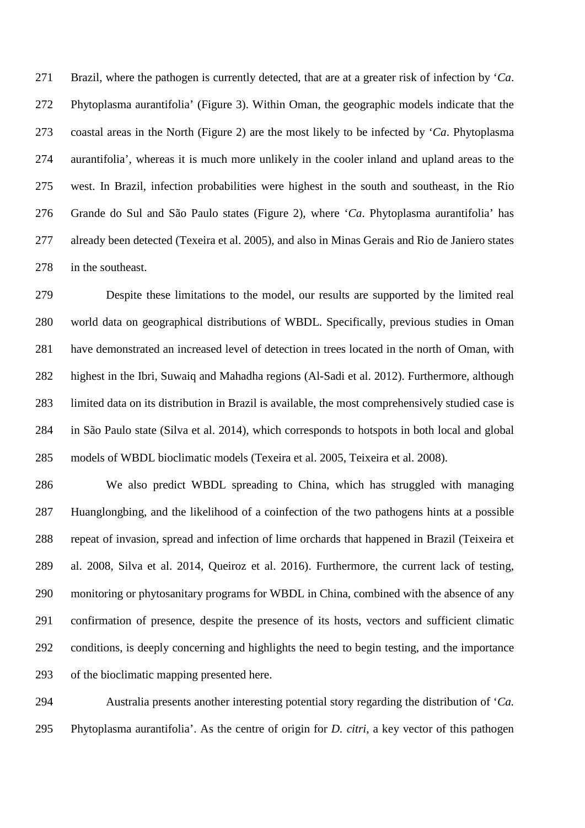Brazil, where the pathogen is currently detected, that are at a greater risk of infection by '*Ca*. Phytoplasma aurantifolia' (Figure 3). Within Oman, the geographic models indicate that the coastal areas in the North (Figure 2) are the most likely to be infected by '*Ca*. Phytoplasma aurantifolia', whereas it is much more unlikely in the cooler inland and upland areas to the west. In Brazil, infection probabilities were highest in the south and southeast, in the Rio Grande do Sul and São Paulo states (Figure 2), where '*Ca*. Phytoplasma aurantifolia' has already been detected (Texeira et al. 2005), and also in Minas Gerais and Rio de Janiero states in the southeast.

 Despite these limitations to the model, our results are supported by the limited real world data on geographical distributions of WBDL. Specifically, previous studies in Oman have demonstrated an increased level of detection in trees located in the north of Oman, with highest in the Ibri, Suwaiq and Mahadha regions (Al-Sadi et al. 2012). Furthermore, although limited data on its distribution in Brazil is available, the most comprehensively studied case is in São Paulo state (Silva et al. 2014), which corresponds to hotspots in both local and global models of WBDL bioclimatic models (Texeira et al. 2005, Teixeira et al. 2008).

 We also predict WBDL spreading to China, which has struggled with managing Huanglongbing, and the likelihood of a coinfection of the two pathogens hints at a possible repeat of invasion, spread and infection of lime orchards that happened in Brazil (Teixeira et al. 2008, Silva et al. 2014, Queiroz et al. 2016). Furthermore, the current lack of testing, monitoring or phytosanitary programs for WBDL in China, combined with the absence of any confirmation of presence, despite the presence of its hosts, vectors and sufficient climatic conditions, is deeply concerning and highlights the need to begin testing, and the importance of the bioclimatic mapping presented here.

 Australia presents another interesting potential story regarding the distribution of '*Ca.*  Phytoplasma aurantifolia'. As the centre of origin for *D. citri*, a key vector of this pathogen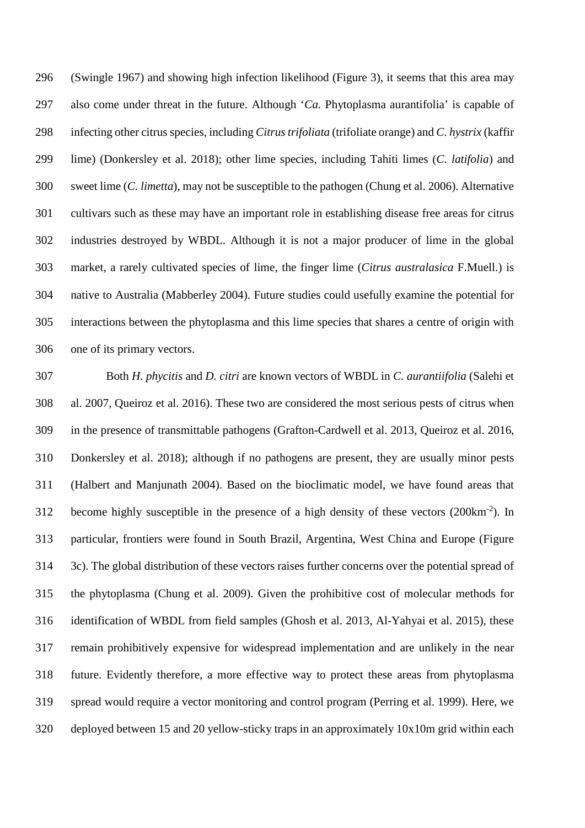(Swingle 1967) and showing high infection likelihood (Figure 3), it seems that this area may also come under threat in the future. Although '*Ca.* Phytoplasma aurantifolia' is capable of infecting other citrus species, including *Citrus trifoliata* (trifoliate orange) and *C. hystrix* (kaffir lime) (Donkersley et al. 2018); other lime species, including Tahiti limes (*C. latifolia*) and sweet lime (*C. limetta*), may not be susceptible to the pathogen (Chung et al. 2006). Alternative cultivars such as these may have an important role in establishing disease free areas for citrus industries destroyed by WBDL. Although it is not a major producer of lime in the global market, a rarely cultivated species of lime, the finger lime (*Citrus australasica* F.Muell.) is native to Australia (Mabberley 2004). Future studies could usefully examine the potential for interactions between the phytoplasma and this lime species that shares a centre of origin with one of its primary vectors.

 Both *H. phycitis* and *D. citri* are known vectors of WBDL in *C. aurantiifolia* (Salehi et al. 2007, Queiroz et al. 2016). These two are considered the most serious pests of citrus when in the presence of transmittable pathogens (Grafton-Cardwell et al. 2013, Queiroz et al. 2016, Donkersley et al. 2018); although if no pathogens are present, they are usually minor pests (Halbert and Manjunath 2004). Based on the bioclimatic model, we have found areas that 312 become highly susceptible in the presence of a high density of these vectors  $(200 \text{km}^{-2})$ . In particular, frontiers were found in South Brazil, Argentina, West China and Europe (Figure 3c). The global distribution of these vectors raises further concerns over the potential spread of the phytoplasma (Chung et al. 2009). Given the prohibitive cost of molecular methods for identification of WBDL from field samples (Ghosh et al. 2013, Al-Yahyai et al. 2015), these remain prohibitively expensive for widespread implementation and are unlikely in the near future. Evidently therefore, a more effective way to protect these areas from phytoplasma spread would require a vector monitoring and control program (Perring et al. 1999). Here, we deployed between 15 and 20 yellow-sticky traps in an approximately 10x10m grid within each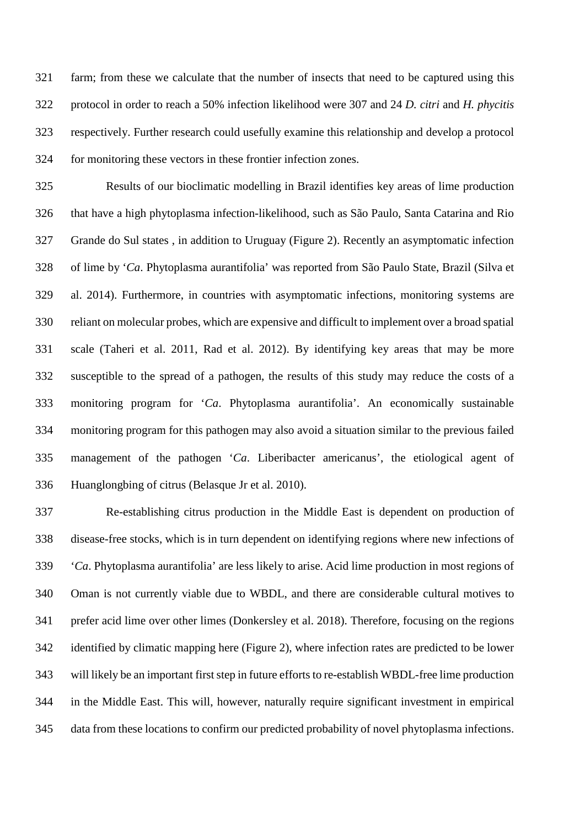farm; from these we calculate that the number of insects that need to be captured using this protocol in order to reach a 50% infection likelihood were 307 and 24 *D. citri* and *H. phycitis* respectively. Further research could usefully examine this relationship and develop a protocol for monitoring these vectors in these frontier infection zones.

 Results of our bioclimatic modelling in Brazil identifies key areas of lime production that have a high phytoplasma infection-likelihood, such as São Paulo, Santa Catarina and Rio Grande do Sul states , in addition to Uruguay (Figure 2). Recently an asymptomatic infection of lime by '*Ca*. Phytoplasma aurantifolia' was reported from São Paulo State, Brazil (Silva et al. 2014). Furthermore, in countries with asymptomatic infections, monitoring systems are reliant on molecular probes, which are expensive and difficult to implement over a broad spatial scale (Taheri et al. 2011, Rad et al. 2012). By identifying key areas that may be more susceptible to the spread of a pathogen, the results of this study may reduce the costs of a monitoring program for '*Ca*. Phytoplasma aurantifolia'. An economically sustainable monitoring program for this pathogen may also avoid a situation similar to the previous failed management of the pathogen '*Ca*. Liberibacter americanus', the etiological agent of Huanglongbing of citrus (Belasque Jr et al. 2010).

 Re-establishing citrus production in the Middle East is dependent on production of disease-free stocks, which is in turn dependent on identifying regions where new infections of '*Ca*. Phytoplasma aurantifolia' are less likely to arise. Acid lime production in most regions of Oman is not currently viable due to WBDL, and there are considerable cultural motives to prefer acid lime over other limes (Donkersley et al. 2018). Therefore, focusing on the regions identified by climatic mapping here (Figure 2), where infection rates are predicted to be lower will likely be an important first step in future efforts to re-establish WBDL-free lime production in the Middle East. This will, however, naturally require significant investment in empirical data from these locations to confirm our predicted probability of novel phytoplasma infections.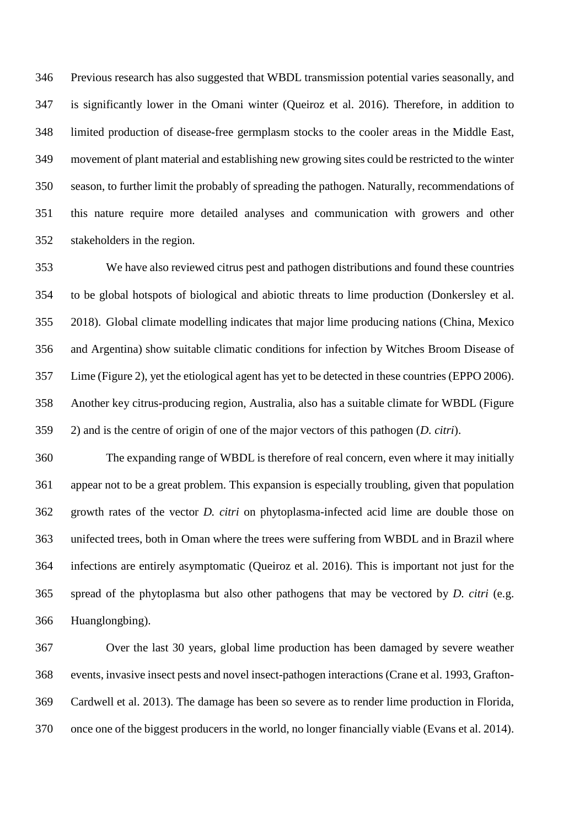Previous research has also suggested that WBDL transmission potential varies seasonally, and is significantly lower in the Omani winter (Queiroz et al. 2016). Therefore, in addition to limited production of disease-free germplasm stocks to the cooler areas in the Middle East, movement of plant material and establishing new growing sites could be restricted to the winter season, to further limit the probably of spreading the pathogen. Naturally, recommendations of this nature require more detailed analyses and communication with growers and other stakeholders in the region.

 We have also reviewed citrus pest and pathogen distributions and found these countries to be global hotspots of biological and abiotic threats to lime production (Donkersley et al. 2018). Global climate modelling indicates that major lime producing nations (China, Mexico and Argentina) show suitable climatic conditions for infection by Witches Broom Disease of Lime (Figure 2), yet the etiological agent has yet to be detected in these countries (EPPO 2006). Another key citrus-producing region, Australia, also has a suitable climate for WBDL (Figure 2) and is the centre of origin of one of the major vectors of this pathogen (*D. citri*).

 The expanding range of WBDL is therefore of real concern, even where it may initially appear not to be a great problem. This expansion is especially troubling, given that population growth rates of the vector *D. citri* on phytoplasma-infected acid lime are double those on unifected trees, both in Oman where the trees were suffering from WBDL and in Brazil where infections are entirely asymptomatic (Queiroz et al. 2016). This is important not just for the spread of the phytoplasma but also other pathogens that may be vectored by *D. citri* (e.g. Huanglongbing).

 Over the last 30 years, global lime production has been damaged by severe weather events, invasive insect pests and novel insect-pathogen interactions (Crane et al. 1993, Grafton- Cardwell et al. 2013). The damage has been so severe as to render lime production in Florida, once one of the biggest producers in the world, no longer financially viable (Evans et al. 2014).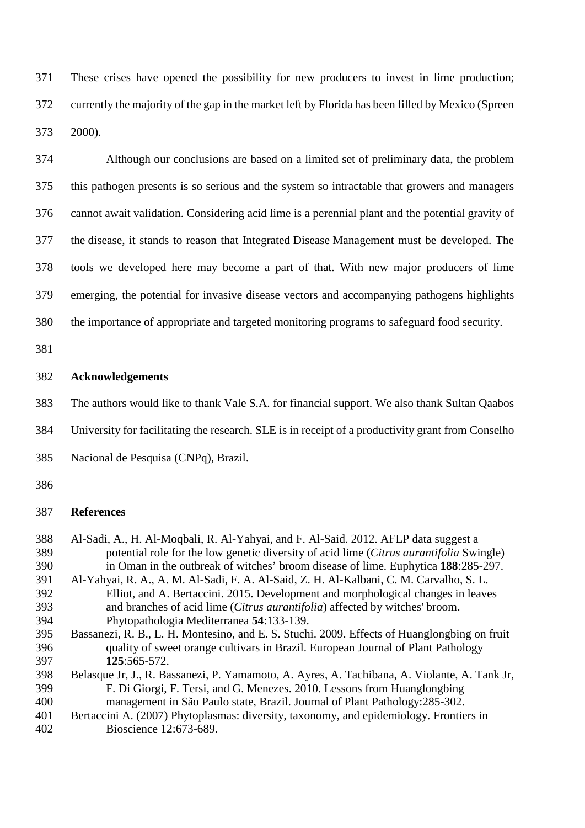These crises have opened the possibility for new producers to invest in lime production; currently the majority of the gap in the market left by Florida has been filled by Mexico (Spreen 2000).

 Although our conclusions are based on a limited set of preliminary data, the problem this pathogen presents is so serious and the system so intractable that growers and managers cannot await validation. Considering acid lime is a perennial plant and the potential gravity of the disease, it stands to reason that Integrated Disease Management must be developed. The tools we developed here may become a part of that. With new major producers of lime emerging, the potential for invasive disease vectors and accompanying pathogens highlights

the importance of appropriate and targeted monitoring programs to safeguard food security.

# **Acknowledgements**

The authors would like to thank Vale S.A. for financial support. We also thank Sultan Qaabos

University for facilitating the research. SLE is in receipt of a productivity grant from Conselho

Nacional de Pesquisa (CNPq), Brazil.

#### 

### **References**

- Al-Sadi, A., H. Al-Moqbali, R. Al-Yahyai, and F. Al-Said. 2012. AFLP data suggest a potential role for the low genetic diversity of acid lime (*Citrus aurantifolia* Swingle) in Oman in the outbreak of witches' broom disease of lime. Euphytica **188**:285-297. Al-Yahyai, R. A., A. M. Al-Sadi, F. A. Al-Said, Z. H. Al-Kalbani, C. M. Carvalho, S. L. Elliot, and A. Bertaccini. 2015. Development and morphological changes in leaves and branches of acid lime (*Citrus aurantifolia*) affected by witches' broom. Phytopathologia Mediterranea **54**:133-139. Bassanezi, R. B., L. H. Montesino, and E. S. Stuchi. 2009. Effects of Huanglongbing on fruit quality of sweet orange cultivars in Brazil. European Journal of Plant Pathology **125**:565-572.
- Belasque Jr, J., R. Bassanezi, P. Yamamoto, A. Ayres, A. Tachibana, A. Violante, A. Tank Jr, F. Di Giorgi, F. Tersi, and G. Menezes. 2010. Lessons from Huanglongbing management in São Paulo state, Brazil. Journal of Plant Pathology:285-302.
- Bertaccini A. (2007) Phytoplasmas: diversity, taxonomy, and epidemiology. Frontiers in Bioscience 12:673-689.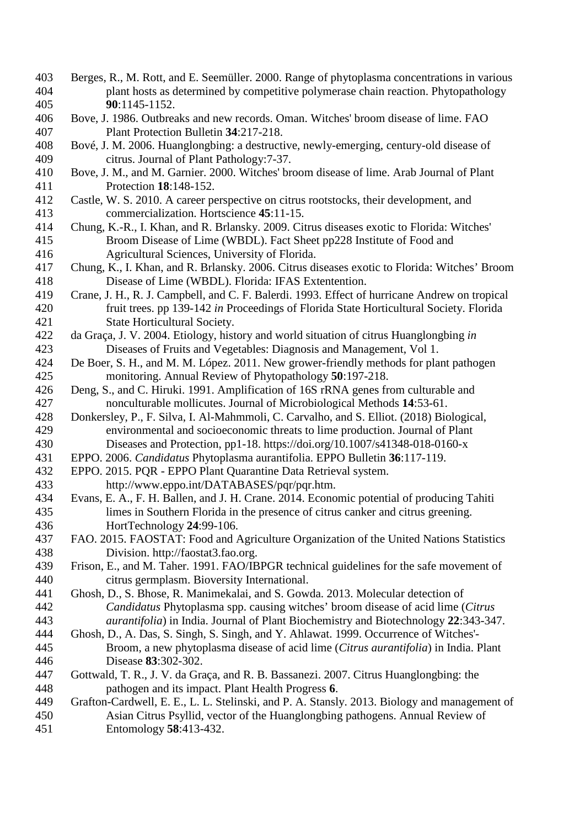- Berges, R., M. Rott, and E. Seemüller. 2000. Range of phytoplasma concentrations in various plant hosts as determined by competitive polymerase chain reaction. Phytopathology **90**:1145-1152.
- Bove, J. 1986. Outbreaks and new records. Oman. Witches' broom disease of lime. FAO Plant Protection Bulletin **34**:217-218.
- Bové, J. M. 2006. Huanglongbing: a destructive, newly-emerging, century-old disease of citrus. Journal of Plant Pathology:7-37.
- Bove, J. M., and M. Garnier. 2000. Witches' broom disease of lime. Arab Journal of Plant Protection **18**:148-152.
- Castle, W. S. 2010. A career perspective on citrus rootstocks, their development, and commercialization. Hortscience **45**:11-15.
- Chung, K.-R., I. Khan, and R. Brlansky. 2009. Citrus diseases exotic to Florida: Witches' Broom Disease of Lime (WBDL). Fact Sheet pp228 Institute of Food and Agricultural Sciences, University of Florida.
- Chung, K., I. Khan, and R. Brlansky. 2006. Citrus diseases exotic to Florida: Witches' Broom Disease of Lime (WBDL). Florida: IFAS Extentention.
- Crane, J. H., R. J. Campbell, and C. F. Balerdi. 1993. Effect of hurricane Andrew on tropical fruit trees. pp 139-142 *in* Proceedings of Florida State Horticultural Society. Florida State Horticultural Society.
- da Graça, J. V. 2004. Etiology, history and world situation of citrus Huanglongbing *in* Diseases of Fruits and Vegetables: Diagnosis and Management, Vol 1.
- De Boer, S. H., and M. M. López. 2011. New grower-friendly methods for plant pathogen monitoring. Annual Review of Phytopathology **50**:197-218.
- Deng, S., and C. Hiruki. 1991. Amplification of 16S rRNA genes from culturable and nonculturable mollicutes. Journal of Microbiological Methods **14**:53-61.
- Donkersley, P., F. Silva, I. Al-Mahmmoli, C. Carvalho, and S. Elliot. (2018) Biological, environmental and socioeconomic threats to lime production. Journal of Plant Diseases and Protection, pp1-18. https://doi.org/10.1007/s41348-018-0160-x
- EPPO. 2006. *Candidatus* Phytoplasma aurantifolia. EPPO Bulletin **36**:117-119.
- EPPO. 2015. PQR EPPO Plant Quarantine Data Retrieval system.
- http://www.eppo.int/DATABASES/pqr/pqr.htm.
- Evans, E. A., F. H. Ballen, and J. H. Crane. 2014. Economic potential of producing Tahiti limes in Southern Florida in the presence of citrus canker and citrus greening. HortTechnology **24**:99-106.
- FAO. 2015. FAOSTAT: Food and Agriculture Organization of the United Nations Statistics Division. http://faostat3.fao.org.
- Frison, E., and M. Taher. 1991. FAO/IBPGR technical guidelines for the safe movement of citrus germplasm. Bioversity International.
- Ghosh, D., S. Bhose, R. Manimekalai, and S. Gowda. 2013. Molecular detection of *Candidatus* Phytoplasma spp. causing witches' broom disease of acid lime (*Citrus aurantifolia*) in India. Journal of Plant Biochemistry and Biotechnology **22**:343-347.
- Ghosh, D., A. Das, S. Singh, S. Singh, and Y. Ahlawat. 1999. Occurrence of Witches'- Broom, a new phytoplasma disease of acid lime (*Citrus aurantifolia*) in India. Plant Disease **83**:302-302.
- Gottwald, T. R., J. V. da Graça, and R. B. Bassanezi. 2007. Citrus Huanglongbing: the pathogen and its impact. Plant Health Progress **6**.
- Grafton-Cardwell, E. E., L. L. Stelinski, and P. A. Stansly. 2013. Biology and management of Asian Citrus Psyllid, vector of the Huanglongbing pathogens. Annual Review of Entomology **58**:413-432.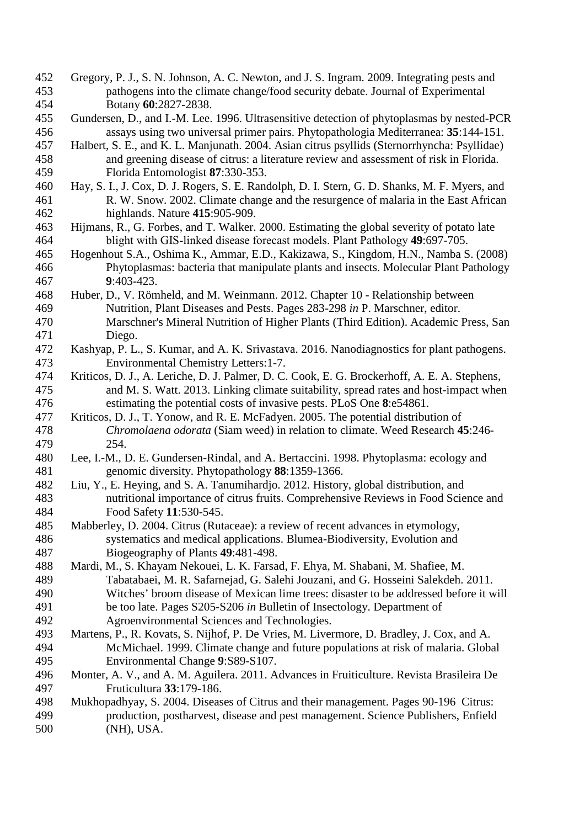- Gregory, P. J., S. N. Johnson, A. C. Newton, and J. S. Ingram. 2009. Integrating pests and pathogens into the climate change/food security debate. Journal of Experimental Botany **60**:2827-2838.
- Gundersen, D., and I.-M. Lee. 1996. Ultrasensitive detection of phytoplasmas by nested-PCR assays using two universal primer pairs. Phytopathologia Mediterranea: **35**:144-151.
- Halbert, S. E., and K. L. Manjunath. 2004. Asian citrus psyllids (Sternorrhyncha: Psyllidae) and greening disease of citrus: a literature review and assessment of risk in Florida. Florida Entomologist **87**:330-353.
- Hay, S. I., J. Cox, D. J. Rogers, S. E. Randolph, D. I. Stern, G. D. Shanks, M. F. Myers, and R. W. Snow. 2002. Climate change and the resurgence of malaria in the East African highlands. Nature **415**:905-909.
- Hijmans, R., G. Forbes, and T. Walker. 2000. Estimating the global severity of potato late blight with GIS‐linked disease forecast models. Plant Pathology **49**:697-705.
- Hogenhout S.A., Oshima K., Ammar, E.D., Kakizawa, S., Kingdom, H.N., Namba S. (2008) Phytoplasmas: bacteria that manipulate plants and insects. Molecular Plant Pathology **9**:403-423.
- Huber, D., V. Römheld, and M. Weinmann. 2012. Chapter 10 Relationship between Nutrition, Plant Diseases and Pests. Pages 283-298 *in* P. Marschner, editor. Marschner's Mineral Nutrition of Higher Plants (Third Edition). Academic Press, San Diego.
- Kashyap, P. L., S. Kumar, and A. K. Srivastava. 2016. Nanodiagnostics for plant pathogens. Environmental Chemistry Letters:1-7.
- Kriticos, D. J., A. Leriche, D. J. Palmer, D. C. Cook, E. G. Brockerhoff, A. E. A. Stephens, and M. S. Watt. 2013. Linking climate suitability, spread rates and host-impact when estimating the potential costs of invasive pests. PLoS One **8**:e54861.
- Kriticos, D. J., T. Yonow, and R. E. McFadyen. 2005. The potential distribution of *Chromolaena odorata* (Siam weed) in relation to climate. Weed Research **45**:246- 254.
- Lee, I.-M., D. E. Gundersen-Rindal, and A. Bertaccini. 1998. Phytoplasma: ecology and genomic diversity. Phytopathology **88**:1359-1366.
- Liu, Y., E. Heying, and S. A. Tanumihardjo. 2012. History, global distribution, and nutritional importance of citrus fruits. Comprehensive Reviews in Food Science and Food Safety **11**:530-545.
- Mabberley, D. 2004. Citrus (Rutaceae): a review of recent advances in etymology, systematics and medical applications. Blumea-Biodiversity, Evolution and Biogeography of Plants **49**:481-498.
- Mardi, M., S. Khayam Nekouei, L. K. Farsad, F. Ehya, M. Shabani, M. Shafiee, M. Tabatabaei, M. R. Safarnejad, G. Salehi Jouzani, and G. Hosseini Salekdeh. 2011. Witches' broom disease of Mexican lime trees: disaster to be addressed before it will be too late. Pages S205-S206 *in* Bulletin of Insectology. Department of Agroenvironmental Sciences and Technologies.
- Martens, P., R. Kovats, S. Nijhof, P. De Vries, M. Livermore, D. Bradley, J. Cox, and A. McMichael. 1999. Climate change and future populations at risk of malaria. Global Environmental Change **9**:S89-S107.
- Monter, A. V., and A. M. Aguilera. 2011. Advances in Fruiticulture. Revista Brasileira De Fruticultura **33**:179-186.
- Mukhopadhyay, S. 2004. Diseases of Citrus and their management. Pages 90-196 Citrus: production, postharvest, disease and pest management. Science Publishers, Enfield (NH), USA.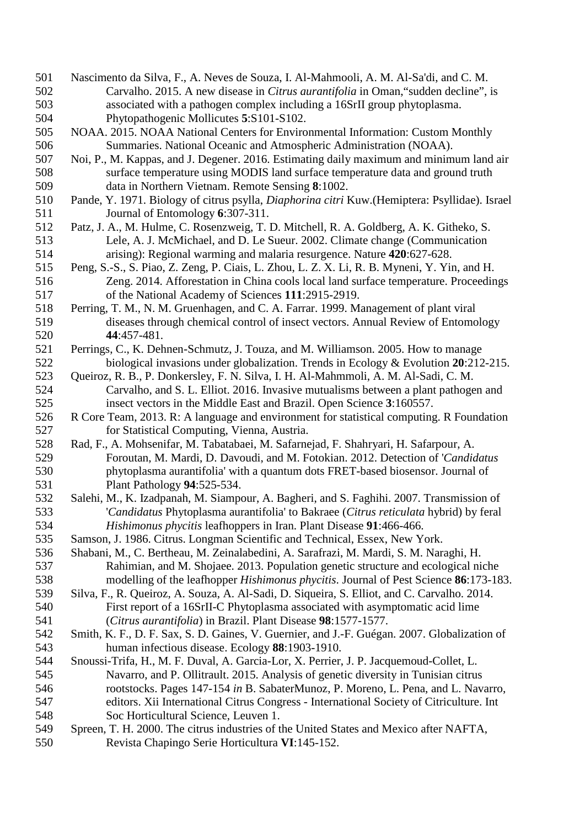- Nascimento da Silva, F., A. Neves de Souza, I. Al-Mahmooli, A. M. Al-Sa'di, and C. M. Carvalho. 2015. A new disease in *Citrus aurantifolia* in Oman,"sudden decline", is associated with a pathogen complex including a 16SrII group phytoplasma. Phytopathogenic Mollicutes **5**:S101-S102.
- NOAA. 2015. NOAA National Centers for Environmental Information: Custom Monthly Summaries. National Oceanic and Atmospheric Administration (NOAA).
- Noi, P., M. Kappas, and J. Degener. 2016. Estimating daily maximum and minimum land air surface temperature using MODIS land surface temperature data and ground truth data in Northern Vietnam. Remote Sensing **8**:1002.
- Pande, Y. 1971. Biology of citrus psylla, *Diaphorina citri* Kuw.(Hemiptera: Psyllidae). Israel Journal of Entomology **6**:307-311.
- Patz, J. A., M. Hulme, C. Rosenzweig, T. D. Mitchell, R. A. Goldberg, A. K. Githeko, S. Lele, A. J. McMichael, and D. Le Sueur. 2002. Climate change (Communication arising): Regional warming and malaria resurgence. Nature **420**:627-628.
- Peng, S.-S., S. Piao, Z. Zeng, P. Ciais, L. Zhou, L. Z. X. Li, R. B. Myneni, Y. Yin, and H. Zeng. 2014. Afforestation in China cools local land surface temperature. Proceedings of the National Academy of Sciences **111**:2915-2919.
- Perring, T. M., N. M. Gruenhagen, and C. A. Farrar. 1999. Management of plant viral diseases through chemical control of insect vectors. Annual Review of Entomology **44**:457-481.
- Perrings, C., K. Dehnen-Schmutz, J. Touza, and M. Williamson. 2005. How to manage biological invasions under globalization. Trends in Ecology & Evolution **20**:212-215.
- Queiroz, R. B., P. Donkersley, F. N. Silva, I. H. Al-Mahmmoli, A. M. Al-Sadi, C. M. Carvalho, and S. L. Elliot. 2016. Invasive mutualisms between a plant pathogen and insect vectors in the Middle East and Brazil. Open Science **3**:160557.
- R Core Team, 2013. R: A language and environment for statistical computing. R Foundation for Statistical Computing, Vienna, Austria.
- Rad, F., A. Mohsenifar, M. Tabatabaei, M. Safarnejad, F. Shahryari, H. Safarpour, A. Foroutan, M. Mardi, D. Davoudi, and M. Fotokian. 2012. Detection of '*Candidatus*  phytoplasma aurantifolia' with a quantum dots FRET-based biosensor. Journal of Plant Pathology **94**:525-534.
- Salehi, M., K. Izadpanah, M. Siampour, A. Bagheri, and S. Faghihi. 2007. Transmission of '*Candidatus* Phytoplasma aurantifolia' to Bakraee (*Citrus reticulata* hybrid) by feral *Hishimonus phycitis* leafhoppers in Iran. Plant Disease **91**:466-466.
- Samson, J. 1986. Citrus. Longman Scientific and Technical, Essex, New York.
- Shabani, M., C. Bertheau, M. Zeinalabedini, A. Sarafrazi, M. Mardi, S. M. Naraghi, H. Rahimian, and M. Shojaee. 2013. Population genetic structure and ecological niche modelling of the leafhopper *Hishimonus phycitis*. Journal of Pest Science **86**:173-183.
- Silva, F., R. Queiroz, A. Souza, A. Al-Sadi, D. Siqueira, S. Elliot, and C. Carvalho. 2014. First report of a 16SrII-C Phytoplasma associated with asymptomatic acid lime (*Citrus aurantifolia*) in Brazil. Plant Disease **98**:1577-1577.
- Smith, K. F., D. F. Sax, S. D. Gaines, V. Guernier, and J.-F. Guégan. 2007. Globalization of human infectious disease. Ecology **88**:1903-1910.
- Snoussi-Trifa, H., M. F. Duval, A. Garcia-Lor, X. Perrier, J. P. Jacquemoud-Collet, L. Navarro, and P. Ollitrault. 2015. Analysis of genetic diversity in Tunisian citrus rootstocks. Pages 147-154 *in* B. SabaterMunoz, P. Moreno, L. Pena, and L. Navarro, editors. Xii International Citrus Congress - International Society of Citriculture. Int Soc Horticultural Science, Leuven 1.
- Spreen, T. H. 2000. The citrus industries of the United States and Mexico after NAFTA, Revista Chapingo Serie Horticultura **VI**:145-152.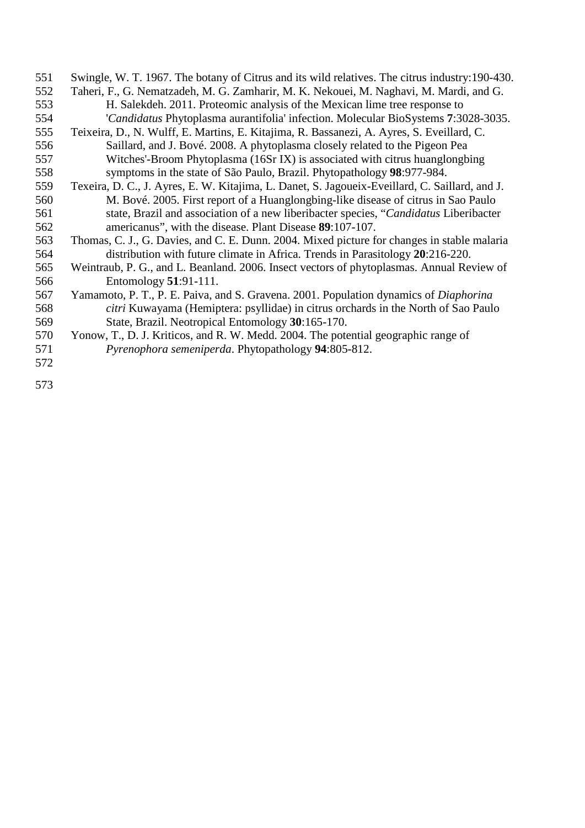- Swingle, W. T. 1967. The botany of Citrus and its wild relatives. The citrus industry:190-430.
- Taheri, F., G. Nematzadeh, M. G. Zamharir, M. K. Nekouei, M. Naghavi, M. Mardi, and G. H. Salekdeh. 2011. Proteomic analysis of the Mexican lime tree response to '*Candidatus* Phytoplasma aurantifolia' infection. Molecular BioSystems **7**:3028-3035.
- Teixeira, D., N. Wulff, E. Martins, E. Kitajima, R. Bassanezi, A. Ayres, S. Eveillard, C. Saillard, and J. Bové. 2008. A phytoplasma closely related to the Pigeon Pea Witches'-Broom Phytoplasma (16Sr IX) is associated with citrus huanglongbing symptoms in the state of São Paulo, Brazil. Phytopathology **98**:977-984.
- Texeira, D. C., J. Ayres, E. W. Kitajima, L. Danet, S. Jagoueix-Eveillard, C. Saillard, and J. M. Bové. 2005. First report of a Huanglongbing-like disease of citrus in Sao Paulo state, Brazil and association of a new liberibacter species, "*Candidatus* Liberibacter americanus", with the disease. Plant Disease **89**:107-107.
- 563 Thomas, C. J., G. Davies, and C. E. Dunn. 2004. Mixed picture for changes in stable malaria<br>564 distribution with future climate in Africa. Trends in Parasitology 20:216-220. distribution with future climate in Africa. Trends in Parasitology **20**:216-220.
- Weintraub, P. G., and L. Beanland. 2006. Insect vectors of phytoplasmas. Annual Review of Entomology **51**:91-111.
- Yamamoto, P. T., P. E. Paiva, and S. Gravena. 2001. Population dynamics of *Diaphorina citri* Kuwayama (Hemiptera: psyllidae) in citrus orchards in the North of Sao Paulo State, Brazil. Neotropical Entomology **30**:165-170.
- Yonow, T., D. J. Kriticos, and R. W. Medd. 2004. The potential geographic range of *Pyrenophora semeniperda*. Phytopathology **94**:805-812.
-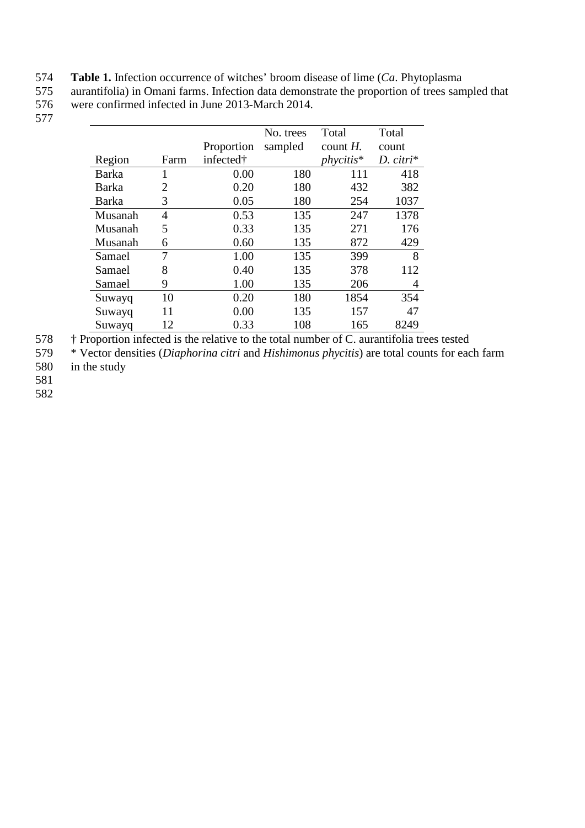574 **Table 1.** Infection occurrence of witches' broom disease of lime (*Ca*. Phytoplasma

575 aurantifolia) in Omani farms. Infection data demonstrate the proportion of trees sampled that<br>576 were confirmed infected in June 2013-March 2014. 576 were confirmed infected in June 2013-March 2014.

577

|              |      |            | No. trees | Total       | Total       |
|--------------|------|------------|-----------|-------------|-------------|
|              |      | Proportion | sampled   | count $H$ . | count       |
| Region       | Farm | infected†  |           | $phvcitis*$ | $D.$ citri* |
| <b>Barka</b> | 1    | 0.00       | 180       | 111         | 418         |
| Barka        | 2    | 0.20       | 180       | 432         | 382         |
| <b>Barka</b> | 3    | 0.05       | 180       | 254         | 1037        |
| Musanah      | 4    | 0.53       | 135       | 247         | 1378        |
| Musanah      | 5    | 0.33       | 135       | 271         | 176         |
| Musanah      | 6    | 0.60       | 135       | 872         | 429         |
| Samael       | 7    | 1.00       | 135       | 399         | 8           |
| Samael       | 8    | 0.40       | 135       | 378         | 112         |
| Samael       | 9    | 1.00       | 135       | 206         | 4           |
| Suwayq       | 10   | 0.20       | 180       | 1854        | 354         |
| Suwayq       | 11   | 0.00       | 135       | 157         | 47          |
| Suwayq       | 12   | 0.33       | 108       | 165         | 8249        |

<sup>†</sup> Proportion infected is the relative to the total number of C. aurantifolia trees tested<br>
<sup>579</sup> \* Vector densities (*Diaphorina citri* and *Hishimonus phycitis*) are total counts for eac

579 \* Vector densities (*Diaphorina citri* and *Hishimonus phycitis*) are total counts for each farm 580 in the study

581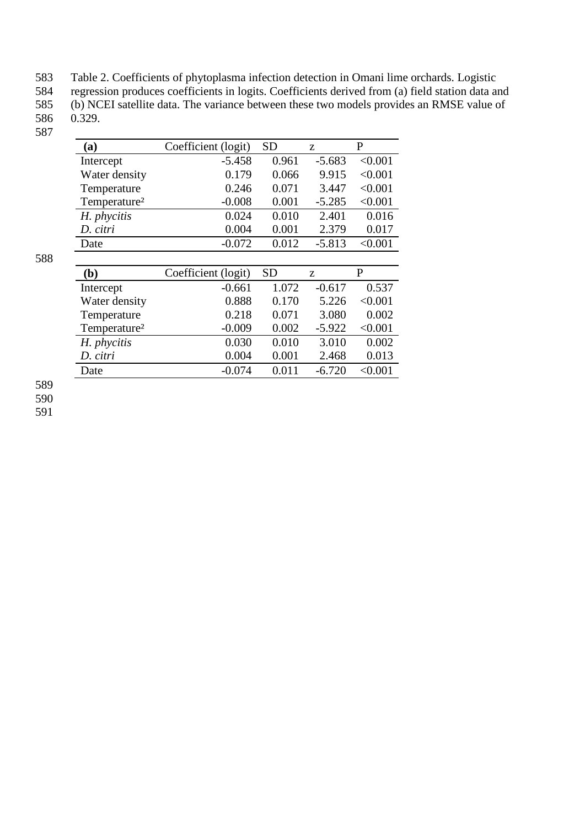583 Table 2. Coefficients of phytoplasma infection detection in Omani lime orchards. Logistic 584 regression produces coefficients in logits. Coefficients derived from (a) field station data and 585 (b) NCEI satellite data. The variance between these two models provides an RMSE value of 586 0.329.

| (a)                      | Coefficient (logit) | SD        | Z.       | P       |
|--------------------------|---------------------|-----------|----------|---------|
| Intercept                | $-5.458$            | 0.961     | $-5.683$ | < 0.001 |
| Water density            | 0.179               | 0.066     | 9.915    | < 0.001 |
| Temperature              | 0.246               | 0.071     | 3.447    | < 0.001 |
| Temperature <sup>2</sup> | $-0.008$            | 0.001     | $-5.285$ | < 0.001 |
| H. phycitis              | 0.024               | 0.010     | 2.401    | 0.016   |
| D. citri                 | 0.004               | 0.001     | 2.379    | 0.017   |
| Date                     | $-0.072$            | 0.012     | $-5.813$ | < 0.001 |
|                          |                     |           |          |         |
|                          |                     |           |          |         |
| (b)                      | Coefficient (logit) | <b>SD</b> | Z        | P       |
| Intercept                | -0.661              | 1.072     | $-0.617$ | 0.537   |
| Water density            | 0.888               | 0.170     | 5.226    | < 0.001 |
| Temperature              | 0.218               | 0.071     | 3.080    | 0.002   |
| Temperature <sup>2</sup> | $-0.009$            | 0.002     | $-5.922$ | < 0.001 |
| H. phycitis              | 0.030               | 0.010     | 3.010    | 0.002   |
| D. citri                 | 0.004               | 0.001     | 2.468    | 0.013   |

588

589

590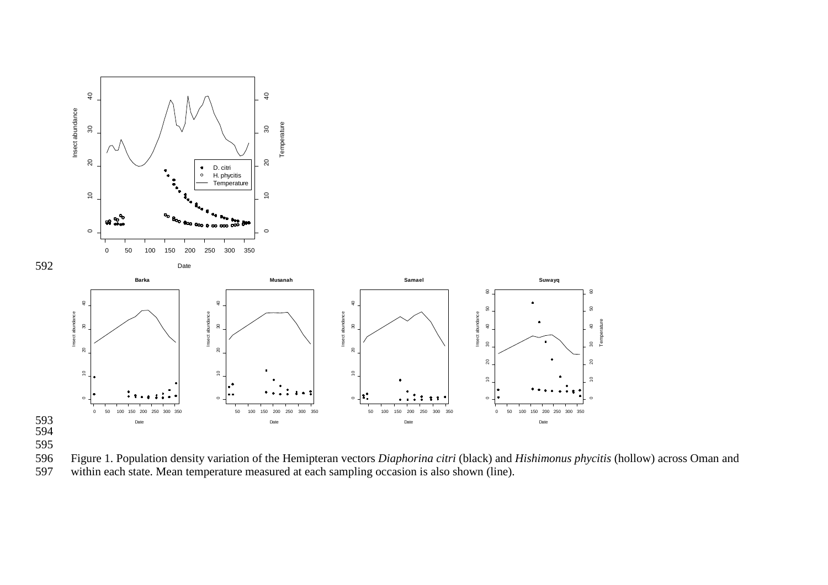

595 596 Figure 1. Population density variation of the Hemipteran vectors *Diaphorina citri* (black) and *Hishimonus phycitis* (hollow) across Oman and Super 11 -  $\frac{1}{2}$  million account of the state. Mean temperature measured at each sampling occasion is also shown (line).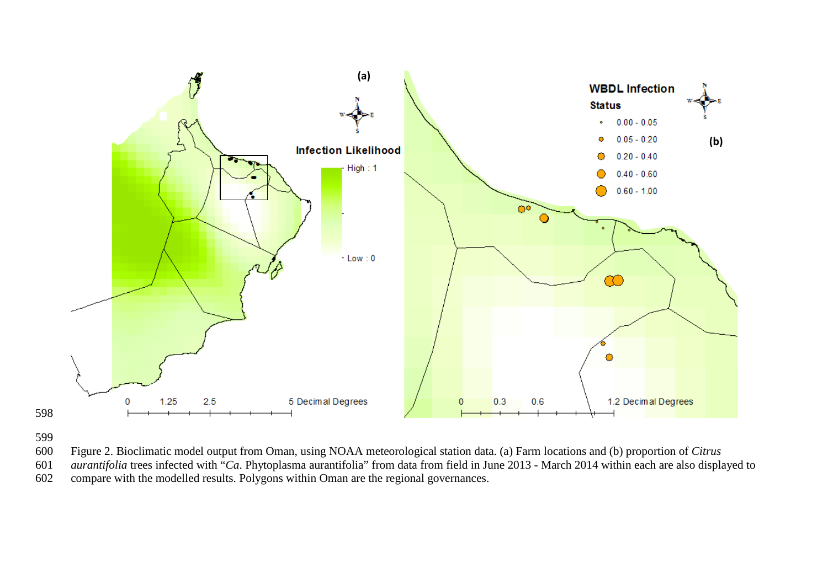

- Figure 2. Bioclimatic model output from Oman, using NOAA meteorological station data. (a) Farm locations and (b) proportion of *Citrus*
- *aurantifolia* trees infected with "*Ca*. Phytoplasma aurantifolia" from data from field in June 2013 March 2014 within each are also displayed to
- compare with the modelled results. Polygons within Oman are the regional governances.